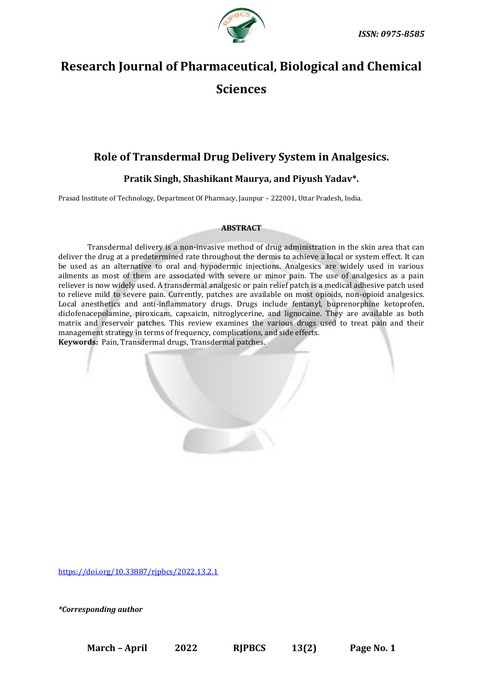

# **Research Journal of Pharmaceutical, Biological and Chemical Sciences**

## **Role of Transdermal Drug Delivery System in Analgesics.**

### **Pratik Singh, Shashikant Maurya, and Piyush Yadav\*.**

Prasad Institute of Technology, Department Of Pharmacy, Jaunpur – 222001, Uttar Pradesh, India.

#### **ABSTRACT**

Transdermal delivery is a non-invasive method of drug administration in the skin area that can deliver the drug at a predetermined rate throughout the dermis to achieve a local or system effect. It can be used as an alternative to oral and hypodermic injections. Analgesics are widely used in various ailments as most of them are associated with severe or minor pain. The use of analgesics as a pain reliever is now widely used. A transdermal analgesic or pain relief patch is a medical adhesive patch used to relieve mild to severe pain. Currently, patches are available on most opioids, non-opioid analgesics. Local anesthetics and anti-inflammatory drugs. Drugs include fentanyl, buprenorphine ketoprofen, diclofenacepolamine, piroxicam, capsaicin, nitroglycerine, and lignocaine. They are available as both matrix and reservoir patches. This review examines the various drugs used to treat pain and their management strategy in terms of frequency, complications, and side effects. **Keywords:** Pain, Transdermal drugs, Transdermal patches.

<https://doi.org/10.33887/rjpbcs/2022.13.2.1>

*\*Corresponding author*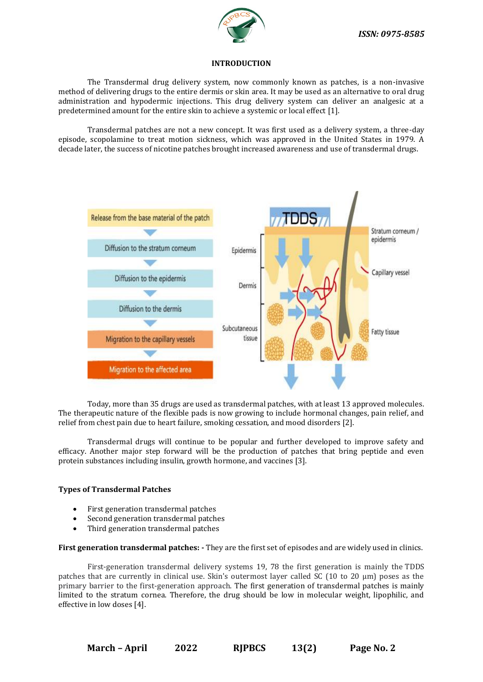

#### **INTRODUCTION**

The Transdermal drug delivery system, now commonly known as patches, is a non-invasive method of delivering drugs to the entire dermis or skin area. It may be used as an alternative to oral drug administration and hypodermic injections. This drug delivery system can deliver an analgesic at a predetermined amount for the entire skin to achieve a systemic or local effect [1].

Transdermal patches are not a new concept. It was first used as a delivery system, a three-day episode, scopolamine to treat motion sickness, which was approved in the United States in 1979. A decade later, the success of nicotine patches brought increased awareness and use of transdermal drugs.



Today, more than 35 drugs are used as transdermal patches, with at least 13 approved molecules. The therapeutic nature of the flexible pads is now growing to include hormonal changes, pain relief, and relief from chest pain due to heart failure, smoking cessation, and mood disorders [2].

Transdermal drugs will continue to be popular and further developed to improve safety and efficacy. Another major step forward will be the production of patches that bring peptide and even protein substances including insulin, growth hormone, and vaccines [3].

#### **Types of Transdermal Patches**

- First generation transdermal patches
- Second generation transdermal patches
- Third generation transdermal patches

**First generation transdermal patches: -** They are the first set of episodes and are widely used in clinics.

First-generation transdermal delivery systems 19, 78 the first generation is mainly the TDDS patches that are currently in clinical use. Skin's outermost layer called SC (10 to 20 µm) poses as the primary barrier to the first-generation approach. The first generation of transdermal patches is mainly limited to the stratum cornea. Therefore, the drug should be low in molecular weight, lipophilic, and effective in low doses [4].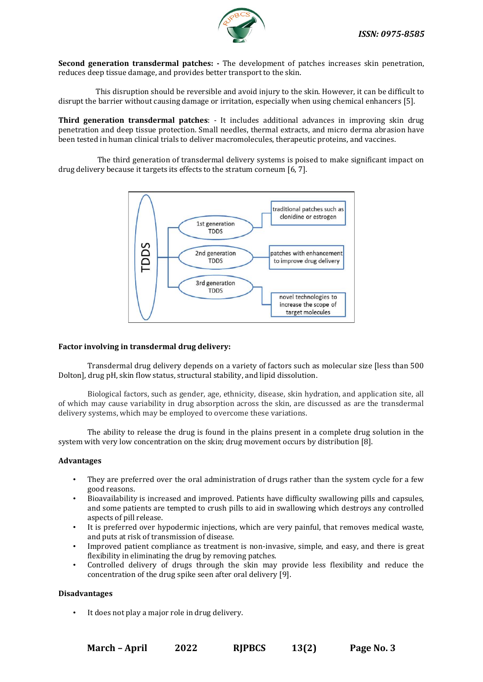

**Second generation transdermal patches: -** The development of patches increases skin penetration, reduces deep tissue damage, and provides better transport to the skin.

 This disruption should be reversible and avoid injury to the skin. However, it can be difficult to disrupt the barrier without causing damage or irritation, especially when using chemical enhancers [5].

**Third generation transdermal patches**: - It includes additional advances in improving skin drug penetration and deep tissue protection. Small needles, thermal extracts, and micro derma abrasion have been tested in human clinical trials to deliver macromolecules, therapeutic proteins, and vaccines.

The third generation of transdermal delivery systems is poised to make significant impact on drug delivery because it targets its effects to the stratum corneum [6, 7].



#### **Factor involving in transdermal drug delivery:**

Transdermal drug delivery depends on a variety of factors such as molecular size [less than 500 Dolton], drug pH, skin flow status, structural stability, and lipid dissolution.

Biological factors, such as gender, age, ethnicity, disease, skin hydration, and application site, all of which may cause variability in drug absorption across the skin, are discussed as are the transdermal delivery systems, which may be employed to overcome these variations.

The ability to release the drug is found in the plains present in a complete drug solution in the system with very low concentration on the skin; drug movement occurs by distribution [8].

#### **Advantages**

- They are preferred over the oral administration of drugs rather than the system cycle for a few good reasons.
- Bioavailability is increased and improved. Patients have difficulty swallowing pills and capsules, and some patients are tempted to crush pills to aid in swallowing which destroys any controlled aspects of pill release.
- It is preferred over hypodermic injections, which are very painful, that removes medical waste, and puts at risk of transmission of disease.
- Improved patient compliance as treatment is non-invasive, simple, and easy, and there is great flexibility in eliminating the drug by removing patches.
- Controlled delivery of drugs through the skin may provide less flexibility and reduce the concentration of the drug spike seen after oral delivery [9].

#### **Disadvantages**

It does not play a major role in drug delivery.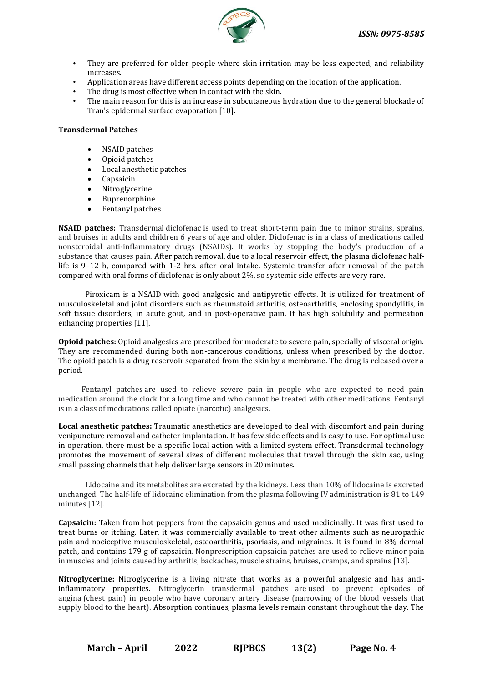

- They are preferred for older people where skin irritation may be less expected, and reliability increases.
- Application areas have different access points depending on the location of the application.
- The drug is most effective when in contact with the skin.
- The main reason for this is an increase in subcutaneous hydration due to the general blockade of Tran's epidermal surface evaporation [10].

#### **Transdermal Patches**

- NSAID patches
- Opioid patches
- Local anesthetic patches
- **Capsaicin**
- **Nitroglycerine**
- Buprenorphine
- Fentanyl patches

**NSAID patches:** Transdermal diclofenac is used to treat short-term pain due to minor strains, sprains, and bruises in adults and children 6 years of age and older. Diclofenac is in a class of medications called nonsteroidal anti-inflammatory drugs (NSAIDs). It works by stopping the body's production of a substance that causes pain. After patch removal, due to a local reservoir effect, the plasma diclofenac halflife is 9–12 h, compared with 1-2 hrs. after oral intake. Systemic transfer after removal of the patch compared with oral forms of diclofenac is only about 2%, so systemic side effects are very rare.

 Piroxicam is a NSAID with good analgesic and antipyretic effects. It is utilized for treatment of musculoskeletal and joint disorders such as rheumatoid arthritis, osteoarthritis, enclosing spondylitis, in soft tissue disorders, in acute gout, and in post-operative pain. It has high solubility and permeation enhancing properties [11].

**Opioid patches:** Opioid analgesics are prescribed for moderate to severe pain, specially of visceral origin. They are recommended during both non-cancerous conditions, unless when prescribed by the doctor. The opioid patch is a drug reservoir separated from the skin by a membrane. The drug is released over a period.

Fentanyl patches are used to relieve severe pain in people who are expected to need pain medication around the clock for a long time and who cannot be treated with other medications. Fentanyl is in a class of medications called opiate (narcotic) analgesics.

**Local anesthetic patches:** Traumatic anesthetics are developed to deal with discomfort and pain during venipuncture removal and catheter implantation. It has few side effects and is easy to use. For optimal use in operation, there must be a specific local action with a limited system effect. Transdermal technology promotes the movement of several sizes of different molecules that travel through the skin sac, using small passing channels that help deliver large sensors in 20 minutes.

 Lidocaine and its metabolites are excreted by the kidneys. Less than 10% of lidocaine is excreted unchanged. The half-life of lidocaine elimination from the plasma following IV administration is 81 to 149 minutes [12].

**Capsaicin:** Taken from hot peppers from the capsaicin genus and used medicinally. It was first used to treat burns or itching. Later, it was commercially available to treat other ailments such as neuropathic pain and nociceptive musculoskeletal, osteoarthritis, psoriasis, and migraines. It is found in 8% dermal patch, and contains 179 g of capsaicin. Nonprescription capsaicin patches are used to relieve minor pain in muscles and joints caused by arthritis, backaches, muscle strains, bruises, cramps, and sprains [13].

**Nitroglycerine:** Nitroglycerine is a living nitrate that works as a powerful analgesic and has antiinflammatory properties. Nitroglycerin transdermal patches are used to prevent episodes of angina (chest pain) in people who have coronary artery disease (narrowing of the blood vessels that supply blood to the heart). Absorption continues, plasma levels remain constant throughout the day. The